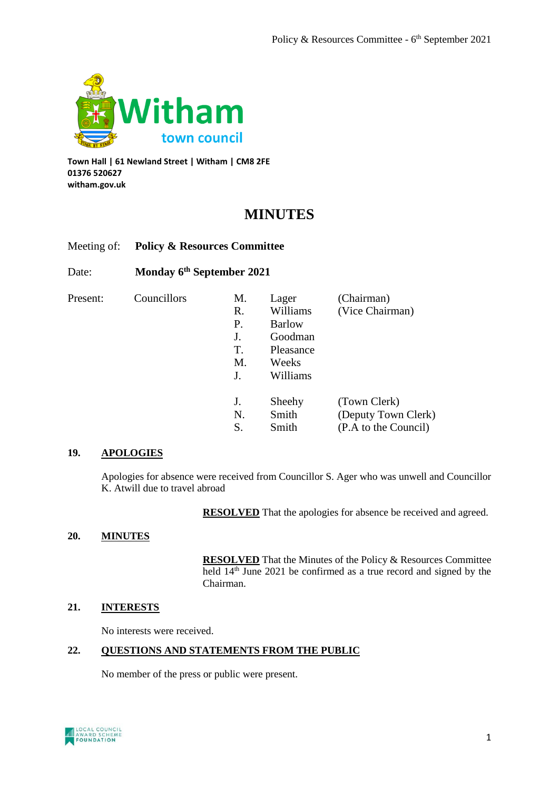

**Town Hall | 61 Newland Street | Witham | CM8 2FE 01376 520627 witham.gov.uk**

# **MINUTES**

# Meeting of: **Policy & Resources Committee**

Date: **Monday 6 th September 2021**

| Present: | Councillors |
|----------|-------------|
|          |             |

| R. | Williams      | (Vice Chairman)      |
|----|---------------|----------------------|
| Ρ. | <b>Barlow</b> |                      |
| J. | Goodman       |                      |
| Т. | Pleasance     |                      |
| M. | Weeks         |                      |
| J. | Williams      |                      |
| J. | Sheehy        | (Town Clerk)         |
|    |               |                      |
| N. | Smith         | (Deputy Town Clerk)  |
|    | Smith         | (P.A to the Council) |

M. Lager (Chairman)

# **19. APOLOGIES**

Apologies for absence were received from Councillor S. Ager who was unwell and Councillor K. Atwill due to travel abroad

**RESOLVED** That the apologies for absence be received and agreed.

# **20. MINUTES**

**RESOLVED** That the Minutes of the Policy & Resources Committee held  $14<sup>th</sup>$  June 2021 be confirmed as a true record and signed by the Chairman.

# **21. INTERESTS**

No interests were received.

## **22. QUESTIONS AND STATEMENTS FROM THE PUBLIC**

No member of the press or public were present.

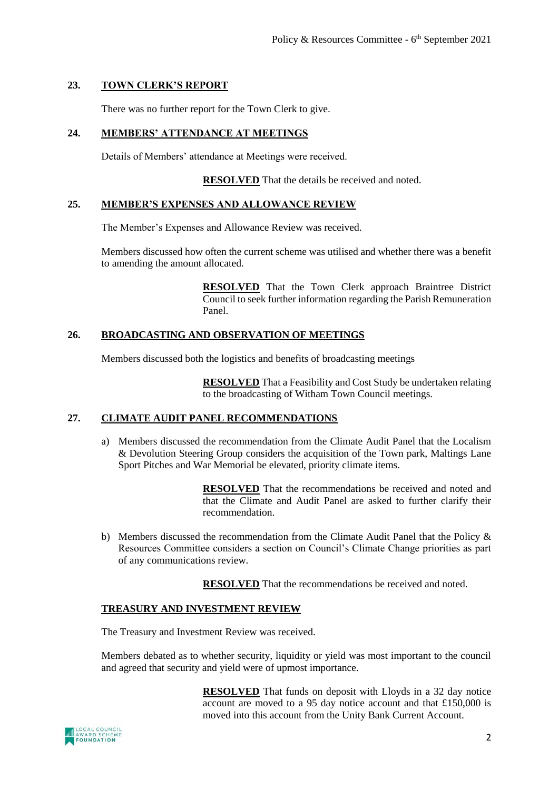# **23. TOWN CLERK'S REPORT**

There was no further report for the Town Clerk to give.

# **24. MEMBERS' ATTENDANCE AT MEETINGS**

Details of Members' attendance at Meetings were received.

**RESOLVED** That the details be received and noted.

#### **25. MEMBER'S EXPENSES AND ALLOWANCE REVIEW**

The Member's Expenses and Allowance Review was received.

Members discussed how often the current scheme was utilised and whether there was a benefit to amending the amount allocated.

> **RESOLVED** That the Town Clerk approach Braintree District Council to seek further information regarding the Parish Remuneration Panel.

## **26. BROADCASTING AND OBSERVATION OF MEETINGS**

Members discussed both the logistics and benefits of broadcasting meetings

**RESOLVED** That a Feasibility and Cost Study be undertaken relating to the broadcasting of Witham Town Council meetings.

### **27. CLIMATE AUDIT PANEL RECOMMENDATIONS**

a) Members discussed the recommendation from the Climate Audit Panel that the Localism & Devolution Steering Group considers the acquisition of the Town park, Maltings Lane Sport Pitches and War Memorial be elevated, priority climate items.

> **RESOLVED** That the recommendations be received and noted and that the Climate and Audit Panel are asked to further clarify their recommendation.

b) Members discussed the recommendation from the Climate Audit Panel that the Policy & Resources Committee considers a section on Council's Climate Change priorities as part of any communications review.

**RESOLVED** That the recommendations be received and noted.

#### **TREASURY AND INVESTMENT REVIEW**

The Treasury and Investment Review was received.

Members debated as to whether security, liquidity or yield was most important to the council and agreed that security and yield were of upmost importance.

> **RESOLVED** That funds on deposit with Lloyds in a 32 day notice account are moved to a 95 day notice account and that £150,000 is moved into this account from the Unity Bank Current Account.

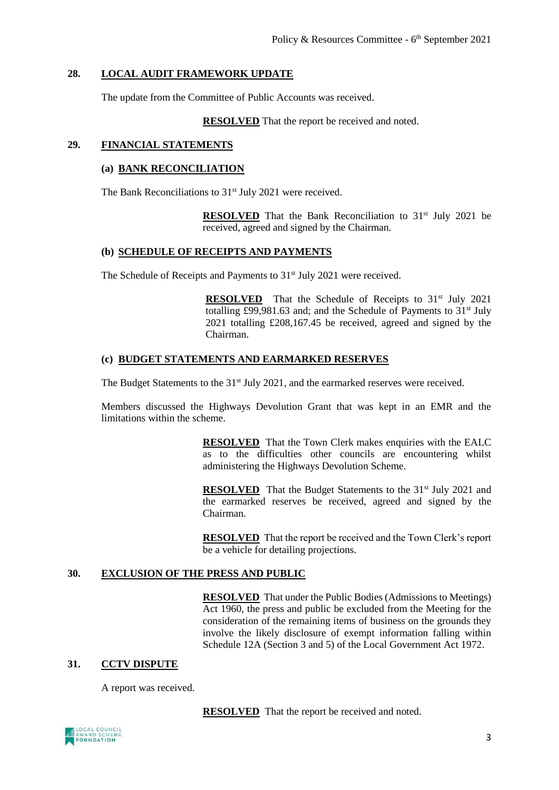#### **28. LOCAL AUDIT FRAMEWORK UPDATE**

The update from the Committee of Public Accounts was received.

**RESOLVED** That the report be received and noted.

#### **29. FINANCIAL STATEMENTS**

#### **(a) BANK RECONCILIATION**

The Bank Reconciliations to 31<sup>st</sup> July 2021 were received.

**RESOLVED** That the Bank Reconciliation to 31<sup>st</sup> July 2021 be received, agreed and signed by the Chairman.

# **(b) SCHEDULE OF RECEIPTS AND PAYMENTS**

The Schedule of Receipts and Payments to 31<sup>st</sup> July 2021 were received.

**RESOLVED** That the Schedule of Receipts to 31<sup>st</sup> July 2021 totalling £99,981.63 and; and the Schedule of Payments to  $31<sup>st</sup>$  July 2021 totalling £208,167.45 be received, agreed and signed by the Chairman.

#### **(c) BUDGET STATEMENTS AND EARMARKED RESERVES**

The Budget Statements to the 31<sup>st</sup> July 2021, and the earmarked reserves were received.

Members discussed the Highways Devolution Grant that was kept in an EMR and the limitations within the scheme.

> **RESOLVED** That the Town Clerk makes enquiries with the EALC as to the difficulties other councils are encountering whilst administering the Highways Devolution Scheme.

> **RESOLVED** That the Budget Statements to the 31<sup>st</sup> July 2021 and the earmarked reserves be received, agreed and signed by the Chairman.

> **RESOLVED** That the report be received and the Town Clerk's report be a vehicle for detailing projections.

### **30. EXCLUSION OF THE PRESS AND PUBLIC**

**RESOLVED** That under the Public Bodies (Admissions to Meetings) Act 1960, the press and public be excluded from the Meeting for the consideration of the remaining items of business on the grounds they involve the likely disclosure of exempt information falling within Schedule 12A (Section 3 and 5) of the Local Government Act 1972.

# **31. CCTV DISPUTE**

A report was received.

**RESOLVED** That the report be received and noted.